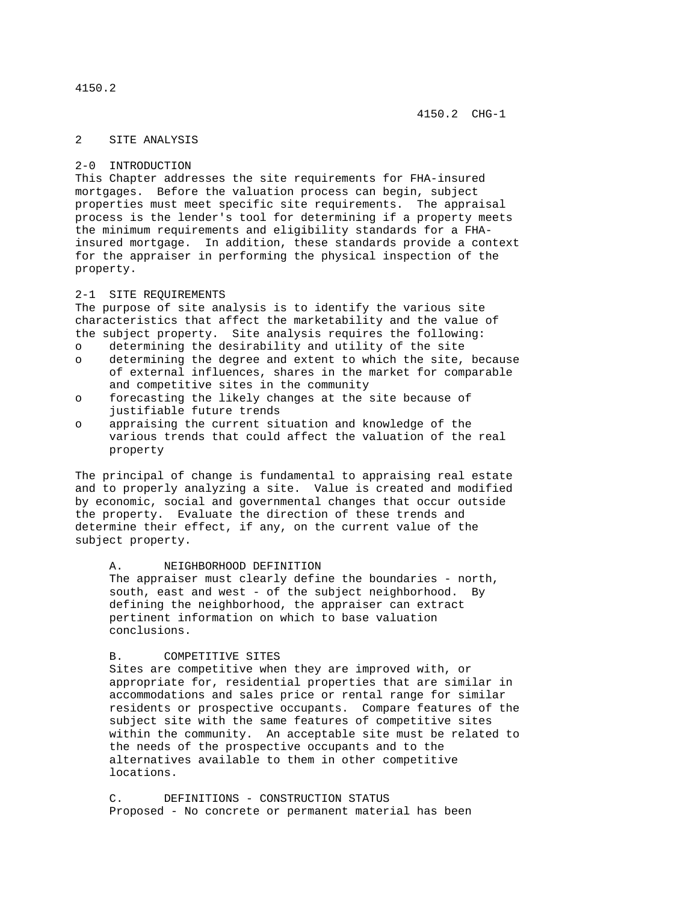4150.2

## 2 SITE ANALYSIS

#### 2-0 INTRODUCTION

This Chapter addresses the site requirements for FHA-insured mortgages. Before the valuation process can begin, subject properties must meet specific site requirements. The appraisal process is the lender's tool for determining if a property meets the minimum requirements and eligibility standards for a FHAinsured mortgage. In addition, these standards provide a context for the appraiser in performing the physical inspection of the property.

## 2-1 SITE REQUIREMENTS

The purpose of site analysis is to identify the various site characteristics that affect the marketability and the value of the subject property. Site analysis requires the following:

- o determining the desirability and utility of the site
- o determining the degree and extent to which the site, because of external influences, shares in the market for comparable and competitive sites in the community
- o forecasting the likely changes at the site because of justifiable future trends
- o appraising the current situation and knowledge of the various trends that could affect the valuation of the real property

The principal of change is fundamental to appraising real estate and to properly analyzing a site. Value is created and modified by economic, social and governmental changes that occur outside the property. Evaluate the direction of these trends and determine their effect, if any, on the current value of the subject property.

### A. NEIGHBORHOOD DEFINITION

The appraiser must clearly define the boundaries - north, south, east and west - of the subject neighborhood. By defining the neighborhood, the appraiser can extract pertinent information on which to base valuation conclusions.

## B. COMPETITIVE SITES

 Sites are competitive when they are improved with, or appropriate for, residential properties that are similar in accommodations and sales price or rental range for similar residents or prospective occupants. Compare features of the subject site with the same features of competitive sites within the community. An acceptable site must be related to the needs of the prospective occupants and to the alternatives available to them in other competitive locations.

 C. DEFINITIONS - CONSTRUCTION STATUS Proposed - No concrete or permanent material has been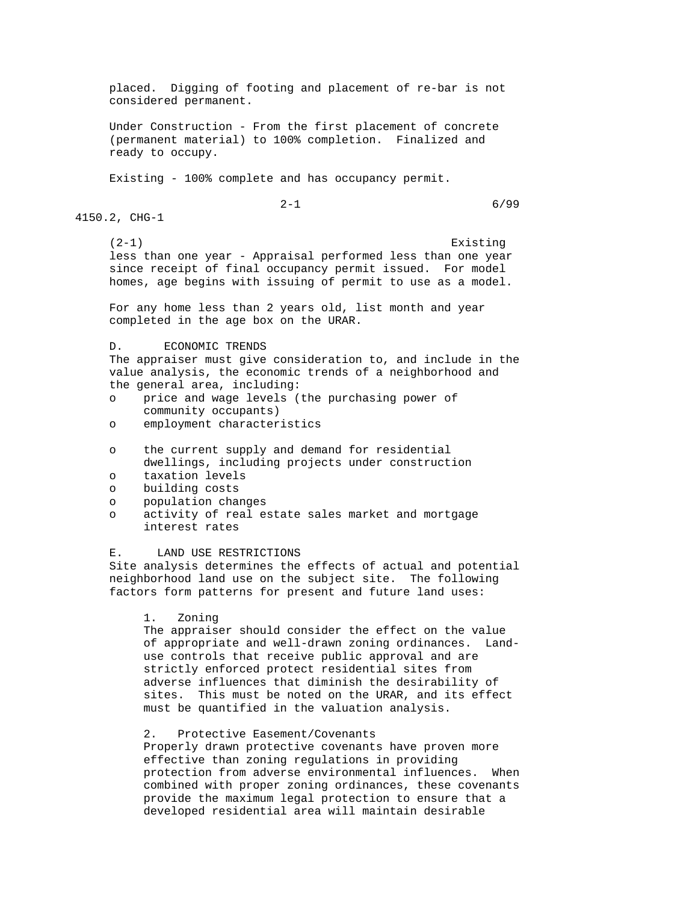placed. Digging of footing and placement of re-bar is not considered permanent.

 Under Construction - From the first placement of concrete (permanent material) to 100% completion. Finalized and ready to occupy.

Existing - 100% complete and has occupancy permit.

 $2-1$  6/99

(2-1) Existing

4150.2, CHG-1

 less than one year - Appraisal performed less than one year since receipt of final occupancy permit issued. For model homes, age begins with issuing of permit to use as a model.

 For any home less than 2 years old, list month and year completed in the age box on the URAR.

## D. ECONOMIC TRENDS

 The appraiser must give consideration to, and include in the value analysis, the economic trends of a neighborhood and the general area, including:

- o price and wage levels (the purchasing power of community occupants)
- o employment characteristics
- o the current supply and demand for residential dwellings, including projects under construction
- o taxation levels
- o building costs
- o population changes
- o activity of real estate sales market and mortgage interest rates

## E. LAND USE RESTRICTIONS

 Site analysis determines the effects of actual and potential neighborhood land use on the subject site. The following factors form patterns for present and future land uses:

1. Zoning

 The appraiser should consider the effect on the value of appropriate and well-drawn zoning ordinances. Land use controls that receive public approval and are strictly enforced protect residential sites from adverse influences that diminish the desirability of sites. This must be noted on the URAR, and its effect must be quantified in the valuation analysis.

## 2. Protective Easement/Covenants

 Properly drawn protective covenants have proven more effective than zoning regulations in providing protection from adverse environmental influences. When combined with proper zoning ordinances, these covenants provide the maximum legal protection to ensure that a developed residential area will maintain desirable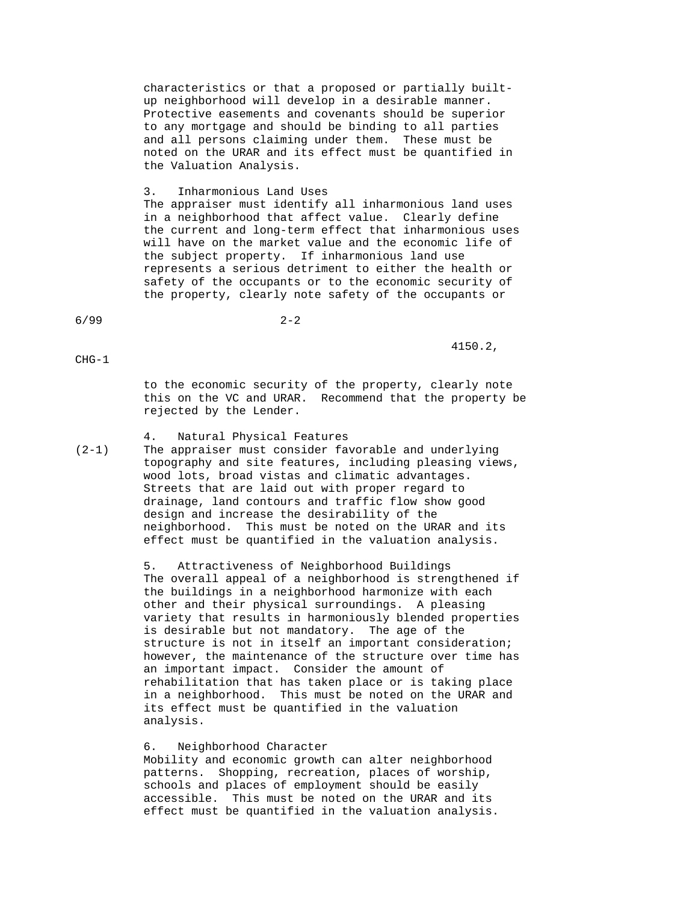characteristics or that a proposed or partially built up neighborhood will develop in a desirable manner. Protective easements and covenants should be superior to any mortgage and should be binding to all parties and all persons claiming under them. These must be noted on the URAR and its effect must be quantified in the Valuation Analysis.

3. Inharmonious Land Uses

 The appraiser must identify all inharmonious land uses in a neighborhood that affect value. Clearly define the current and long-term effect that inharmonious uses will have on the market value and the economic life of the subject property. If inharmonious land use represents a serious detriment to either the health or safety of the occupants or to the economic security of the property, clearly note safety of the occupants or

 $6/99$  2-2

4150.2,

CHG-1

 to the economic security of the property, clearly note this on the VC and URAR. Recommend that the property be rejected by the Lender.

4. Natural Physical Features

(2-1) The appraiser must consider favorable and underlying topography and site features, including pleasing views, wood lots, broad vistas and climatic advantages. Streets that are laid out with proper regard to drainage, land contours and traffic flow show good design and increase the desirability of the neighborhood. This must be noted on the URAR and its effect must be quantified in the valuation analysis.

> 5. Attractiveness of Neighborhood Buildings The overall appeal of a neighborhood is strengthened if the buildings in a neighborhood harmonize with each other and their physical surroundings. A pleasing variety that results in harmoniously blended properties is desirable but not mandatory. The age of the structure is not in itself an important consideration; however, the maintenance of the structure over time has an important impact. Consider the amount of rehabilitation that has taken place or is taking place in a neighborhood. This must be noted on the URAR and its effect must be quantified in the valuation analysis.

6. Neighborhood Character

 Mobility and economic growth can alter neighborhood patterns. Shopping, recreation, places of worship, schools and places of employment should be easily accessible. This must be noted on the URAR and its effect must be quantified in the valuation analysis.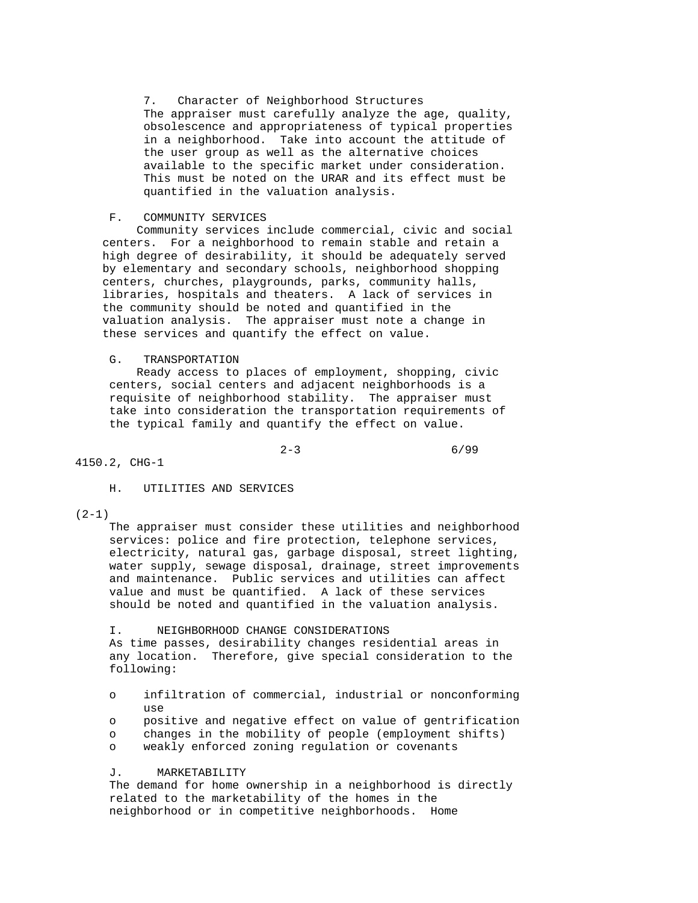7. Character of Neighborhood Structures The appraiser must carefully analyze the age, quality, obsolescence and appropriateness of typical properties in a neighborhood. Take into account the attitude of the user group as well as the alternative choices available to the specific market under consideration. This must be noted on the URAR and its effect must be quantified in the valuation analysis.

## F. COMMUNITY SERVICES

 Community services include commercial, civic and social centers. For a neighborhood to remain stable and retain a high degree of desirability, it should be adequately served by elementary and secondary schools, neighborhood shopping centers, churches, playgrounds, parks, community halls, libraries, hospitals and theaters. A lack of services in the community should be noted and quantified in the valuation analysis. The appraiser must note a change in these services and quantify the effect on value.

#### G. TRANSPORTATION

 Ready access to places of employment, shopping, civic centers, social centers and adjacent neighborhoods is a requisite of neighborhood stability. The appraiser must take into consideration the transportation requirements of the typical family and quantify the effect on value.

 $2-3$  6/99

#### 4150.2, CHG-1

## H. UTILITIES AND SERVICES

## $(2-1)$

 The appraiser must consider these utilities and neighborhood services: police and fire protection, telephone services, electricity, natural gas, garbage disposal, street lighting, water supply, sewage disposal, drainage, street improvements and maintenance. Public services and utilities can affect value and must be quantified. A lack of these services should be noted and quantified in the valuation analysis.

 I. NEIGHBORHOOD CHANGE CONSIDERATIONS As time passes, desirability changes residential areas in any location. Therefore, give special consideration to the following:

- o infiltration of commercial, industrial or nonconforming use
- o positive and negative effect on value of gentrification
- o changes in the mobility of people (employment shifts)
- o weakly enforced zoning regulation or covenants

#### J. MARKETABILITY

 The demand for home ownership in a neighborhood is directly related to the marketability of the homes in the neighborhood or in competitive neighborhoods. Home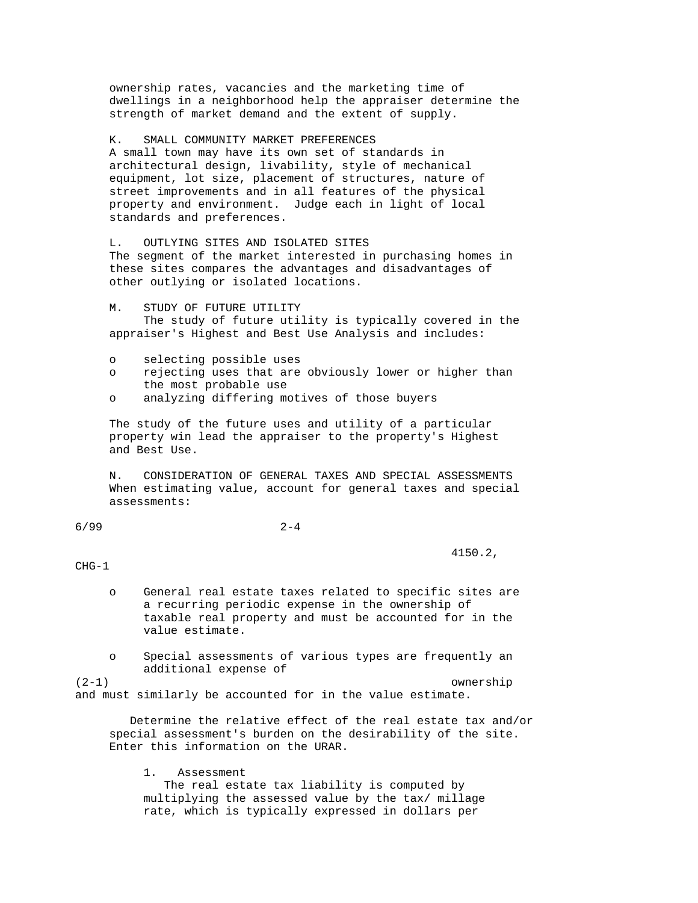ownership rates, vacancies and the marketing time of dwellings in a neighborhood help the appraiser determine the strength of market demand and the extent of supply.

 K. SMALL COMMUNITY MARKET PREFERENCES A small town may have its own set of standards in architectural design, livability, style of mechanical equipment, lot size, placement of structures, nature of street improvements and in all features of the physical property and environment. Judge each in light of local standards and preferences.

 L. OUTLYING SITES AND ISOLATED SITES The segment of the market interested in purchasing homes in these sites compares the advantages and disadvantages of other outlying or isolated locations.

 M. STUDY OF FUTURE UTILITY The study of future utility is typically covered in the appraiser's Highest and Best Use Analysis and includes:

- o selecting possible uses
- o rejecting uses that are obviously lower or higher than the most probable use
- o analyzing differing motives of those buyers

 The study of the future uses and utility of a particular property win lead the appraiser to the property's Highest and Best Use.

 N. CONSIDERATION OF GENERAL TAXES AND SPECIAL ASSESSMENTS When estimating value, account for general taxes and special assessments:

$$
6/99 \hspace{3.2cm} 2-4
$$

 $4150.2$  ,

CHG-1

- o General real estate taxes related to specific sites are a recurring periodic expense in the ownership of taxable real property and must be accounted for in the value estimate.
- o Special assessments of various types are frequently an additional expense of

(2-1) ownership and must similarly be accounted for in the value estimate.

 Determine the relative effect of the real estate tax and/or special assessment's burden on the desirability of the site. Enter this information on the URAR.

 1. Assessment The real estate tax liability is computed by multiplying the assessed value by the tax/ millage rate, which is typically expressed in dollars per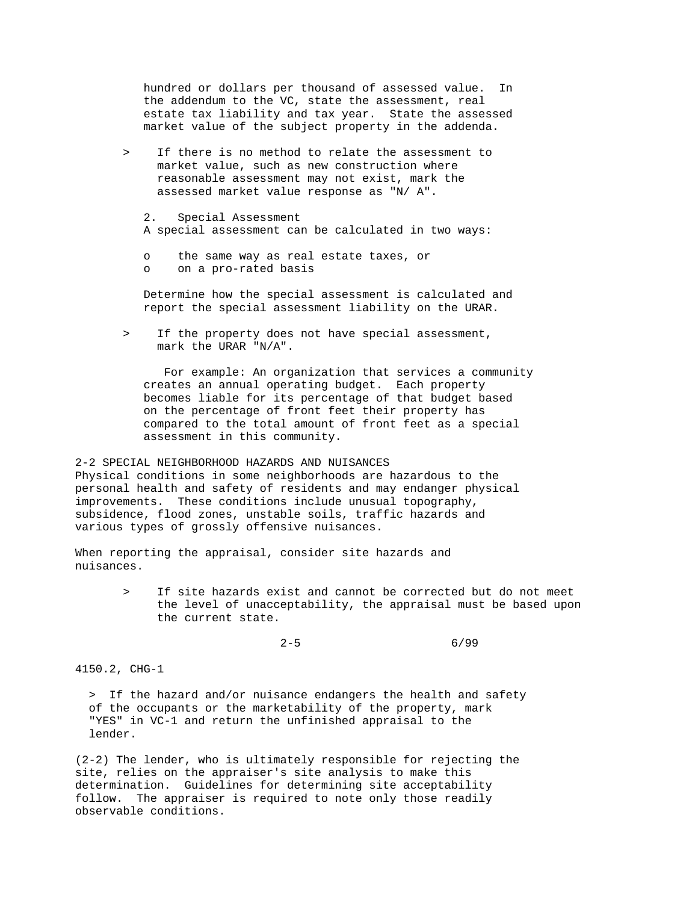hundred or dollars per thousand of assessed value. In the addendum to the VC, state the assessment, real estate tax liability and tax year. State the assessed market value of the subject property in the addenda.

 > If there is no method to relate the assessment to market value, such as new construction where reasonable assessment may not exist, mark the assessed market value response as "N/ A".

 2. Special Assessment A special assessment can be calculated in two ways:

 o the same way as real estate taxes, or o on a pro-rated basis

 Determine how the special assessment is calculated and report the special assessment liability on the URAR.

 > If the property does not have special assessment, mark the URAR "N/A".

 For example: An organization that services a community creates an annual operating budget. Each property becomes liable for its percentage of that budget based on the percentage of front feet their property has compared to the total amount of front feet as a special assessment in this community.

2-2 SPECIAL NEIGHBORHOOD HAZARDS AND NUISANCES Physical conditions in some neighborhoods are hazardous to the personal health and safety of residents and may endanger physical improvements. These conditions include unusual topography, subsidence, flood zones, unstable soils, traffic hazards and various types of grossly offensive nuisances.

When reporting the appraisal, consider site hazards and nuisances.

> > If site hazards exist and cannot be corrected but do not meet the level of unacceptability, the appraisal must be based upon the current state.

 $2-5$  6/99

4150.2, CHG-1

 > If the hazard and/or nuisance endangers the health and safety of the occupants or the marketability of the property, mark "YES" in VC-1 and return the unfinished appraisal to the lender.

(2-2) The lender, who is ultimately responsible for rejecting the site, relies on the appraiser's site analysis to make this determination. Guidelines for determining site acceptability follow. The appraiser is required to note only those readily observable conditions.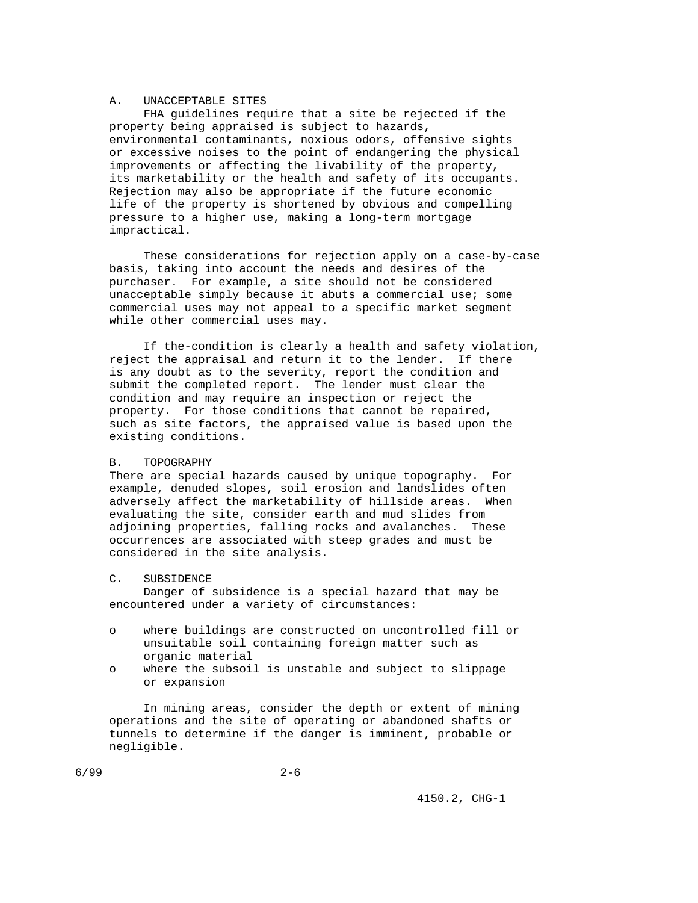## A. UNACCEPTABLE SITES

 FHA guidelines require that a site be rejected if the property being appraised is subject to hazards, environmental contaminants, noxious odors, offensive sights or excessive noises to the point of endangering the physical improvements or affecting the livability of the property, its marketability or the health and safety of its occupants. Rejection may also be appropriate if the future economic life of the property is shortened by obvious and compelling pressure to a higher use, making a long-term mortgage impractical.

 These considerations for rejection apply on a case-by-case basis, taking into account the needs and desires of the purchaser. For example, a site should not be considered unacceptable simply because it abuts a commercial use; some commercial uses may not appeal to a specific market segment while other commercial uses may.

 If the-condition is clearly a health and safety violation, reject the appraisal and return it to the lender. If there is any doubt as to the severity, report the condition and submit the completed report. The lender must clear the condition and may require an inspection or reject the property. For those conditions that cannot be repaired, such as site factors, the appraised value is based upon the existing conditions.

#### B. TOPOGRAPHY

 There are special hazards caused by unique topography. For example, denuded slopes, soil erosion and landslides often adversely affect the marketability of hillside areas. When evaluating the site, consider earth and mud slides from adjoining properties, falling rocks and avalanches. These occurrences are associated with steep grades and must be considered in the site analysis.

#### C. SUBSIDENCE

 Danger of subsidence is a special hazard that may be encountered under a variety of circumstances:

- o where buildings are constructed on uncontrolled fill or unsuitable soil containing foreign matter such as organic material
- o where the subsoil is unstable and subject to slippage or expansion

 In mining areas, consider the depth or extent of mining operations and the site of operating or abandoned shafts or tunnels to determine if the danger is imminent, probable or negligible.

 $6/99$  2-6

4150.2, CHG-1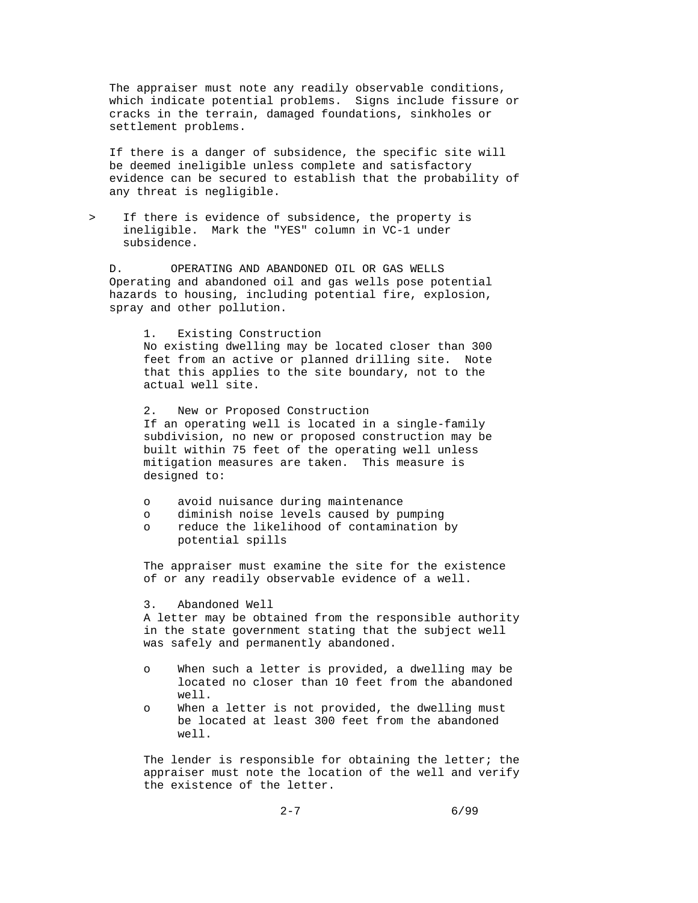The appraiser must note any readily observable conditions, which indicate potential problems. Signs include fissure or cracks in the terrain, damaged foundations, sinkholes or settlement problems.

 If there is a danger of subsidence, the specific site will be deemed ineligible unless complete and satisfactory evidence can be secured to establish that the probability of any threat is negligible.

 > If there is evidence of subsidence, the property is ineligible. Mark the "YES" column in VC-1 under subsidence.

 D. OPERATING AND ABANDONED OIL OR GAS WELLS Operating and abandoned oil and gas wells pose potential hazards to housing, including potential fire, explosion, spray and other pollution.

 1. Existing Construction No existing dwelling may be located closer than 300 feet from an active or planned drilling site. Note that this applies to the site boundary, not to the actual well site.

 2. New or Proposed Construction If an operating well is located in a single-family subdivision, no new or proposed construction may be built within 75 feet of the operating well unless mitigation measures are taken. This measure is designed to:

- o avoid nuisance during maintenance
- o diminish noise levels caused by pumping

 o reduce the likelihood of contamination by potential spills

 The appraiser must examine the site for the existence of or any readily observable evidence of a well.

3. Abandoned Well

 A letter may be obtained from the responsible authority in the state government stating that the subject well was safely and permanently abandoned.

- o When such a letter is provided, a dwelling may be located no closer than 10 feet from the abandoned well.
- o When a letter is not provided, the dwelling must be located at least 300 feet from the abandoned well.

 The lender is responsible for obtaining the letter; the appraiser must note the location of the well and verify the existence of the letter.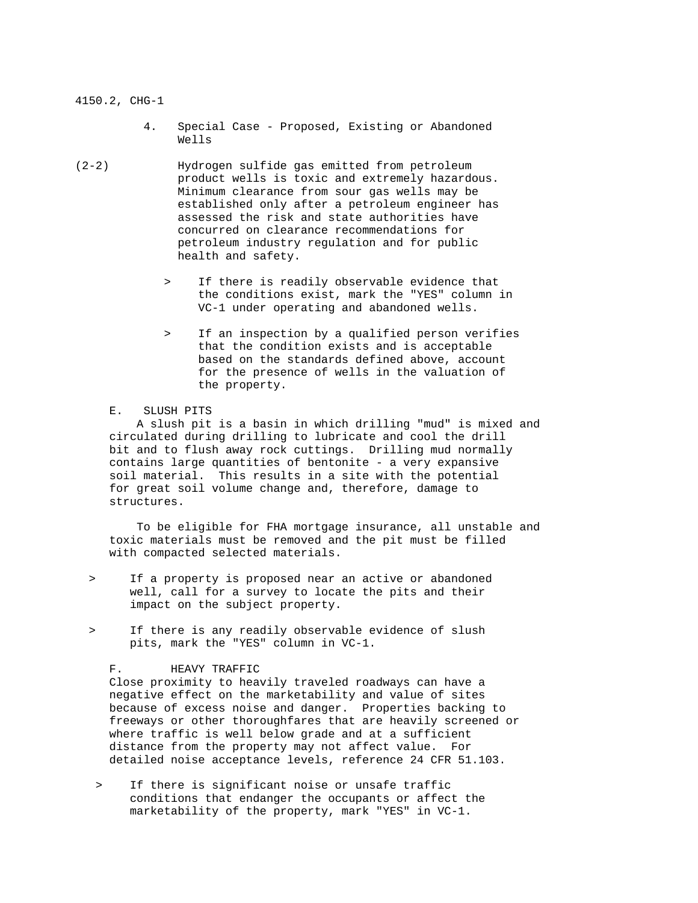# 4150.2, CHG-1

- 4. Special Case Proposed, Existing or Abandoned Wells
- (2-2) Hydrogen sulfide gas emitted from petroleum product wells is toxic and extremely hazardous. Minimum clearance from sour gas wells may be established only after a petroleum engineer has assessed the risk and state authorities have concurred on clearance recommendations for petroleum industry regulation and for public health and safety.
	- > If there is readily observable evidence that the conditions exist, mark the "YES" column in VC-1 under operating and abandoned wells.
	- > If an inspection by a qualified person verifies that the condition exists and is acceptable based on the standards defined above, account for the presence of wells in the valuation of the property.

#### E. SLUSH PITS

 A slush pit is a basin in which drilling "mud" is mixed and circulated during drilling to lubricate and cool the drill bit and to flush away rock cuttings. Drilling mud normally contains large quantities of bentonite - a very expansive soil material. This results in a site with the potential for great soil volume change and, therefore, damage to structures.

 To be eligible for FHA mortgage insurance, all unstable and toxic materials must be removed and the pit must be filled with compacted selected materials.

- > If a property is proposed near an active or abandoned well, call for a survey to locate the pits and their impact on the subject property.
- > If there is any readily observable evidence of slush pits, mark the "YES" column in VC-1.

## F. HEAVY TRAFFIC

 Close proximity to heavily traveled roadways can have a negative effect on the marketability and value of sites because of excess noise and danger. Properties backing to freeways or other thoroughfares that are heavily screened or where traffic is well below grade and at a sufficient distance from the property may not affect value. For detailed noise acceptance levels, reference 24 CFR 51.103.

 > If there is significant noise or unsafe traffic conditions that endanger the occupants or affect the marketability of the property, mark "YES" in VC-1.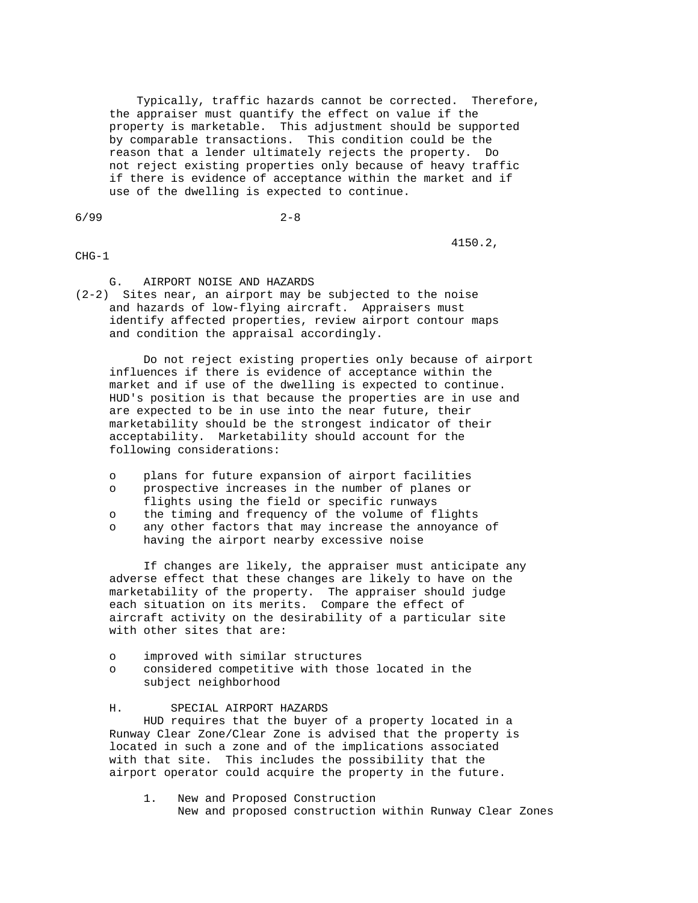Typically, traffic hazards cannot be corrected. Therefore, the appraiser must quantify the effect on value if the property is marketable. This adjustment should be supported by comparable transactions. This condition could be the reason that a lender ultimately rejects the property. Do not reject existing properties only because of heavy traffic if there is evidence of acceptance within the market and if use of the dwelling is expected to continue.

$$
6/99 \hspace{3.2cm} 2-8
$$

 $4150.2$  ,

## CHG-1

G. AIRPORT NOISE AND HAZARDS

(2-2) Sites near, an airport may be subjected to the noise and hazards of low-flying aircraft. Appraisers must identify affected properties, review airport contour maps and condition the appraisal accordingly.

 Do not reject existing properties only because of airport influences if there is evidence of acceptance within the market and if use of the dwelling is expected to continue. HUD's position is that because the properties are in use and are expected to be in use into the near future, their marketability should be the strongest indicator of their acceptability. Marketability should account for the following considerations:

- o plans for future expansion of airport facilities
- o prospective increases in the number of planes or flights using the field or specific runways
- o the timing and frequency of the volume of flights
- o any other factors that may increase the annoyance of having the airport nearby excessive noise

 If changes are likely, the appraiser must anticipate any adverse effect that these changes are likely to have on the marketability of the property. The appraiser should judge each situation on its merits. Compare the effect of aircraft activity on the desirability of a particular site with other sites that are:

 o improved with similar structures o considered competitive with those located in the subject neighborhood

# H. SPECIAL AIRPORT HAZARDS

 HUD requires that the buyer of a property located in a Runway Clear Zone/Clear Zone is advised that the property is located in such a zone and of the implications associated with that site. This includes the possibility that the airport operator could acquire the property in the future.

 1. New and Proposed Construction New and proposed construction within Runway Clear Zones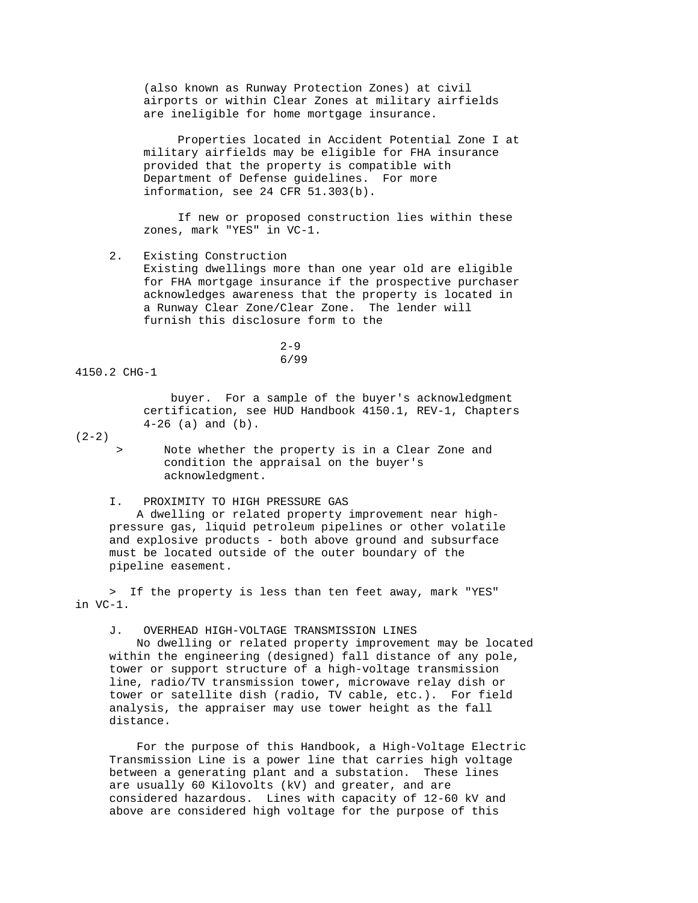(also known as Runway Protection Zones) at civil airports or within Clear Zones at military airfields are ineligible for home mortgage insurance.

 Properties located in Accident Potential Zone I at military airfields may be eligible for FHA insurance provided that the property is compatible with Department of Defense guidelines. For more information, see 24 CFR 51.303(b).

 If new or proposed construction lies within these zones, mark "YES" in VC-1.

 2. Existing Construction Existing dwellings more than one year old are eligible for FHA mortgage insurance if the prospective purchaser acknowledges awareness that the property is located in a Runway Clear Zone/Clear Zone. The lender will furnish this disclosure form to the

 2-9 6/99

4150.2 CHG-1

 buyer. For a sample of the buyer's acknowledgment certification, see HUD Handbook 4150.1, REV-1, Chapters 4-26 (a) and (b).

 $(2-2)$ 

Note whether the property is in a Clear Zone and condition the appraisal on the buyer's acknowledgment.

I. PROXIMITY TO HIGH PRESSURE GAS

 A dwelling or related property improvement near high pressure gas, liquid petroleum pipelines or other volatile and explosive products - both above ground and subsurface must be located outside of the outer boundary of the pipeline easement.

 > If the property is less than ten feet away, mark "YES" in VC-1.

J. OVERHEAD HIGH-VOLTAGE TRANSMISSION LINES

 No dwelling or related property improvement may be located within the engineering (designed) fall distance of any pole, tower or support structure of a high-voltage transmission line, radio/TV transmission tower, microwave relay dish or tower or satellite dish (radio, TV cable, etc.). For field analysis, the appraiser may use tower height as the fall distance.

 For the purpose of this Handbook, a High-Voltage Electric Transmission Line is a power line that carries high voltage between a generating plant and a substation. These lines are usually 60 Kilovolts (kV) and greater, and are considered hazardous. Lines with capacity of 12-60 kV and above are considered high voltage for the purpose of this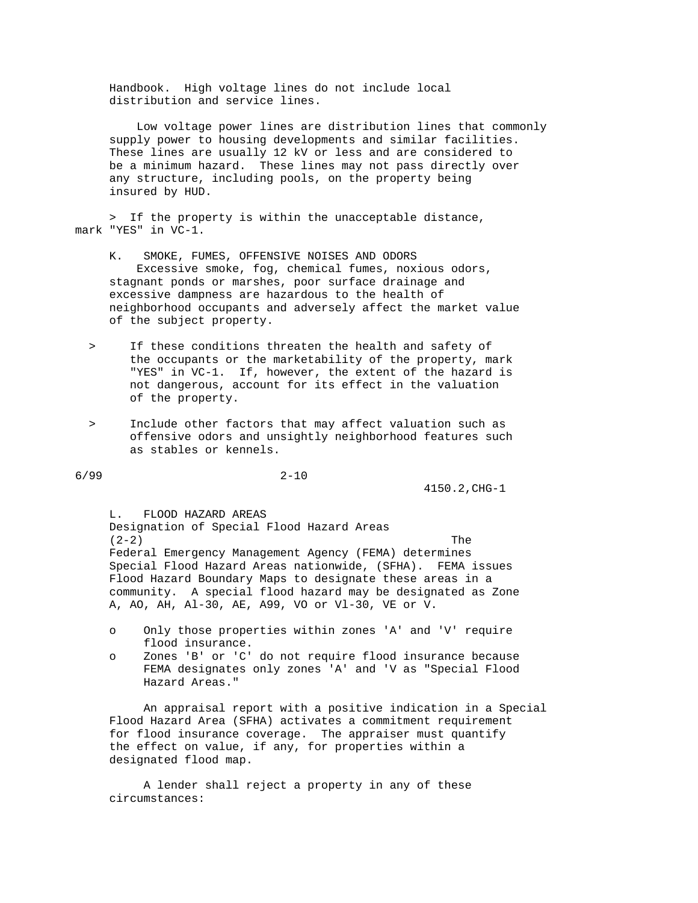Handbook. High voltage lines do not include local distribution and service lines.

 Low voltage power lines are distribution lines that commonly supply power to housing developments and similar facilities. These lines are usually 12 kV or less and are considered to be a minimum hazard. These lines may not pass directly over any structure, including pools, on the property being insured by HUD.

 > If the property is within the unacceptable distance, mark "YES" in VC-1.

 K. SMOKE, FUMES, OFFENSIVE NOISES AND ODORS Excessive smoke, fog, chemical fumes, noxious odors, stagnant ponds or marshes, poor surface drainage and excessive dampness are hazardous to the health of neighborhood occupants and adversely affect the market value of the subject property.

- If these conditions threaten the health and safety of the occupants or the marketability of the property, mark "YES" in VC-1. If, however, the extent of the hazard is not dangerous, account for its effect in the valuation of the property.
- > Include other factors that may affect valuation such as offensive odors and unsightly neighborhood features such as stables or kennels.

## 6/99 2-10

4150.2,CHG-1

 L. FLOOD HAZARD AREAS Designation of Special Flood Hazard Areas  $(2-2)$  The Federal Emergency Management Agency (FEMA) determines Special Flood Hazard Areas nationwide, (SFHA). FEMA issues Flood Hazard Boundary Maps to designate these areas in a community. A special flood hazard may be designated as Zone A, AO, AH, Al-30, AE, A99, VO or Vl-30, VE or V.

- o Only those properties within zones 'A' and 'V' require flood insurance.
- o Zones 'B' or 'C' do not require flood insurance because FEMA designates only zones 'A' and 'V as "Special Flood Hazard Areas."

 An appraisal report with a positive indication in a Special Flood Hazard Area (SFHA) activates a commitment requirement for flood insurance coverage. The appraiser must quantify the effect on value, if any, for properties within a designated flood map.

 A lender shall reject a property in any of these circumstances: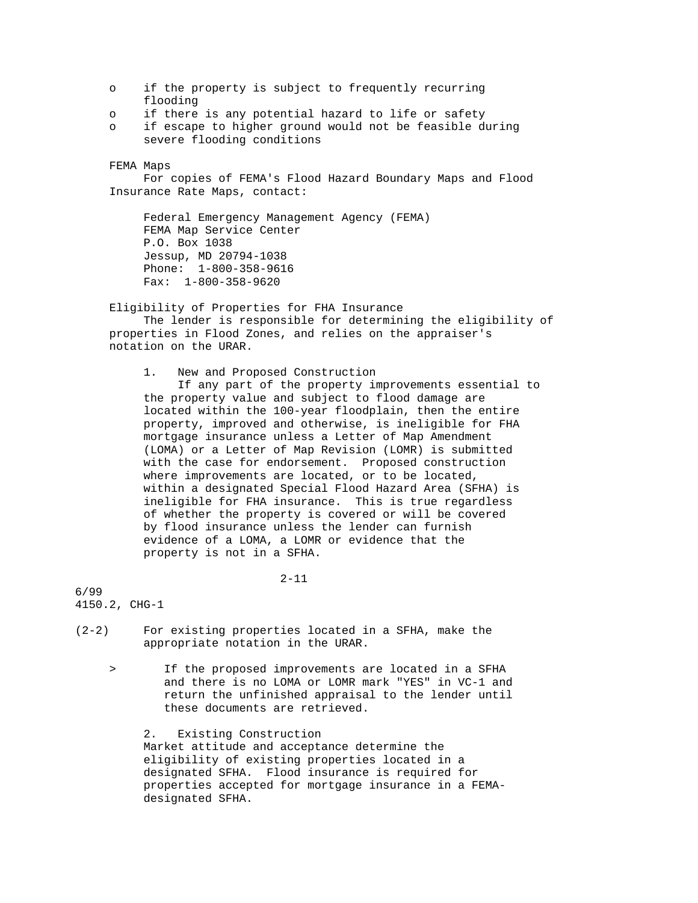o if the property is subject to frequently recurring flooding

- o if there is any potential hazard to life or safety
- o if escape to higher ground would not be feasible during severe flooding conditions

FEMA Maps

 For copies of FEMA's Flood Hazard Boundary Maps and Flood Insurance Rate Maps, contact:

 Federal Emergency Management Agency (FEMA) FEMA Map Service Center P.O. Box 1038 Jessup, MD 20794-1038 Phone: 1-800-358-9616 Fax: 1-800-358-9620

Eligibility of Properties for FHA Insurance

 The lender is responsible for determining the eligibility of properties in Flood Zones, and relies on the appraiser's notation on the URAR.

1. New and Proposed Construction

 If any part of the property improvements essential to the property value and subject to flood damage are located within the 100-year floodplain, then the entire property, improved and otherwise, is ineligible for FHA mortgage insurance unless a Letter of Map Amendment (LOMA) or a Letter of Map Revision (LOMR) is submitted with the case for endorsement. Proposed construction where improvements are located, or to be located, within a designated Special Flood Hazard Area (SFHA) is ineligible for FHA insurance. This is true regardless of whether the property is covered or will be covered by flood insurance unless the lender can furnish evidence of a LOMA, a LOMR or evidence that the property is not in a SFHA.

2-11

6/99

4150.2, CHG-1

- (2-2) For existing properties located in a SFHA, make the appropriate notation in the URAR.
	- > If the proposed improvements are located in a SFHA and there is no LOMA or LOMR mark "YES" in VC-1 and return the unfinished appraisal to the lender until these documents are retrieved.

 2. Existing Construction Market attitude and acceptance determine the eligibility of existing properties located in a designated SFHA. Flood insurance is required for properties accepted for mortgage insurance in a FEMA designated SFHA.